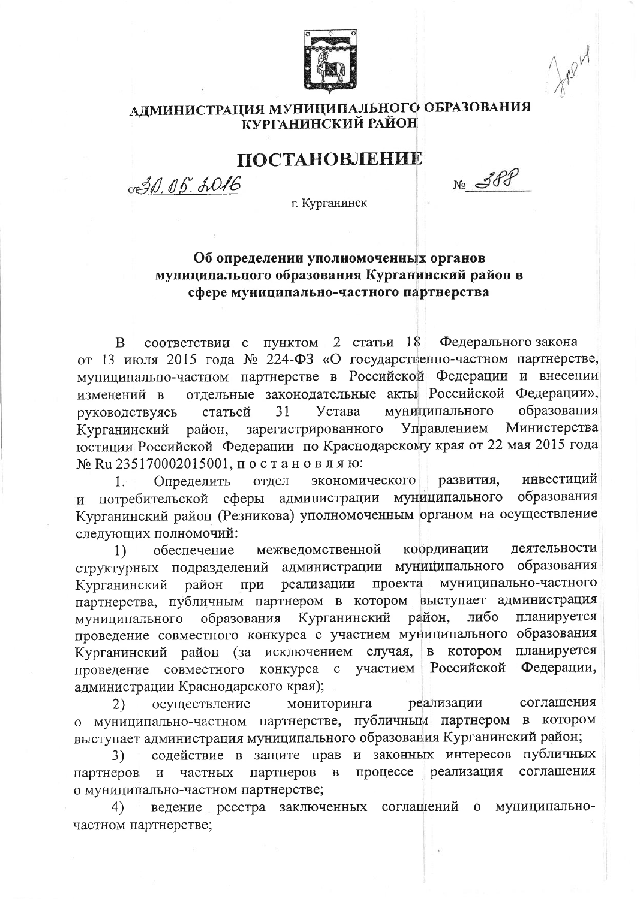

## АДМИНИСТРАЦИЯ МУНИЦИПАЛЬНОГО ОБРАЗОВАНИЯ КУРГАНИНСКИЙ РАЙОН

## ПОСТАНОВЛЕНИЕ

OF 30, 05. 2016

 $N_2$  388

г. Курганинск

## Об определении уполномоченных органов муниципального образования Курганинский район в сфере муниципально-частного партнерства

пунктом 2 статьи 18 Федерального закона B соответствии с от 13 июля 2015 года № 224-ФЗ «О государственно-частном партнерстве, муниципально-частном партнерстве в Российской Федерации и внесении отдельные законодательные акты Российской Федерации», изменений в муниципального образования Устава статьей 31 руководствуясь Управлением Министерства Курганинский зарегистрированного район, юстиции Российской Федерации по Краснодарскому края от 22 мая 2015 года № Ru 235170002015001, постановляю:

экономического развития, инвестиций Определить отдел  $1.$ и потребительской сферы администрации муниципального образования Курганинский район (Резникова) уполномоченным органом на осуществление следующих полномочий:

межведомственной координации деятельности 1) обеспечение администрации муниципального образования структурных подразделений реализации проекта муниципально-частного при Курганинский район партнерства, публичным партнером в котором выступает администрация район, планируется образования Курганинский либо муниципального проведение совместного конкурса с участием муниципального образования планируется Курганинский район (за исключением случая, в котором Российской Федерации, проведение совместного конкурса с участием администрации Краснодарского края);

осуществление мониторинга реализации соглашения 2) о муниципально-частном партнерстве, публичным партнером в котором выступает администрация муниципального образования Курганинский район;

содействие в защите прав и законных интересов публичных 3) партнеров процессе реализация соглашения  $\, {\bf B}$ партнеров частных  $\mathbf{M}$ о муниципально-частном партнерстве;

ведение реестра заключенных соглашений о муниципально-4) частном партнерстве;